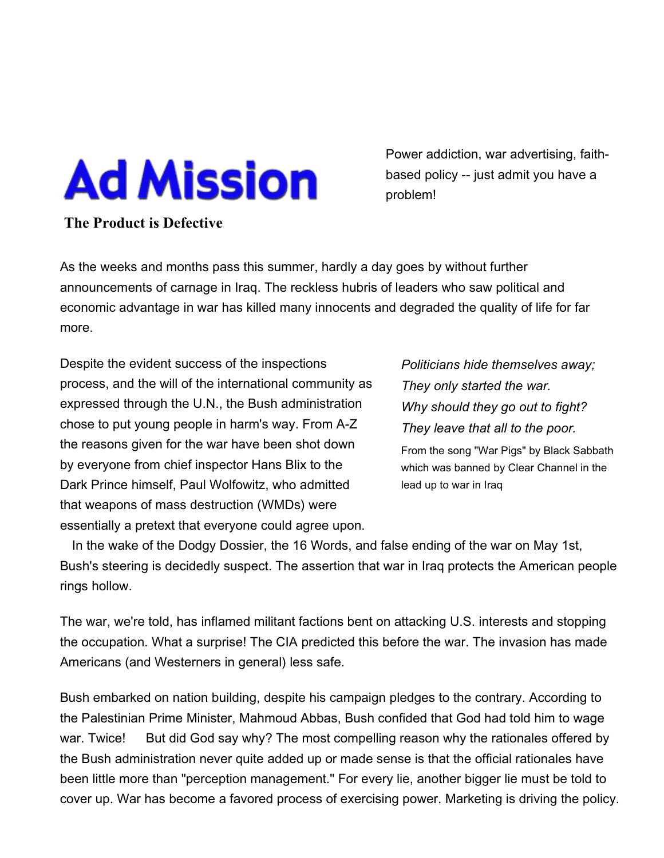## **Ad Mission**

**The Product is Defective**

Power addiction, war advertising, faithbased policy -- just admit you have a problem!

## As the weeks and months pass this summer, hardly a day goes by without further announcements of carnage in Iraq. The reckless hubris of leaders who saw political and economic advantage in war has killed many innocents and degraded the quality of life for far more.

Despite the evident success of the inspections process, and the will of the international community as expressed through the U.N., the Bush administration chose to put young people in harm's way. From A-Z the reasons given for the war have been shot down by everyone from chief inspector Hans Blix to the Dark Prince himself, Paul Wolfowitz, who admitted that weapons of mass destruction (WMDs) were essentially a pretext that everyone could agree upon.

*Politicians hide themselves away; They only started the war. Why should they go out to fight? They leave that all to the poor.* From the song "War Pigs" by Black Sabbath which was banned by Clear Channel in the

lead up to war in Iraq

 In the wake of the Dodgy Dossier, the 16 Words, and false ending of the war on May 1st, Bush's steering is decidedly suspect. The assertion that war in Iraq protects the American people rings hollow.

The war, we're told, has inflamed militant factions bent on attacking U.S. interests and stopping the occupation. What a surprise! The CIA predicted this before the war. The invasion has made Americans (and Westerners in general) less safe.

Bush embarked on nation building, despite his campaign pledges to the contrary. According to the Palestinian Prime Minister, Mahmoud Abbas, Bush confided that God had told him to wage war. Twice! But did God say why? The most compelling reason why the rationales offered by the Bush administration never quite added up or made sense is that the official rationales have been little more than "perception management." For every lie, another bigger lie must be told to cover up. War has become a favored process of exercising power. Marketing is driving the policy.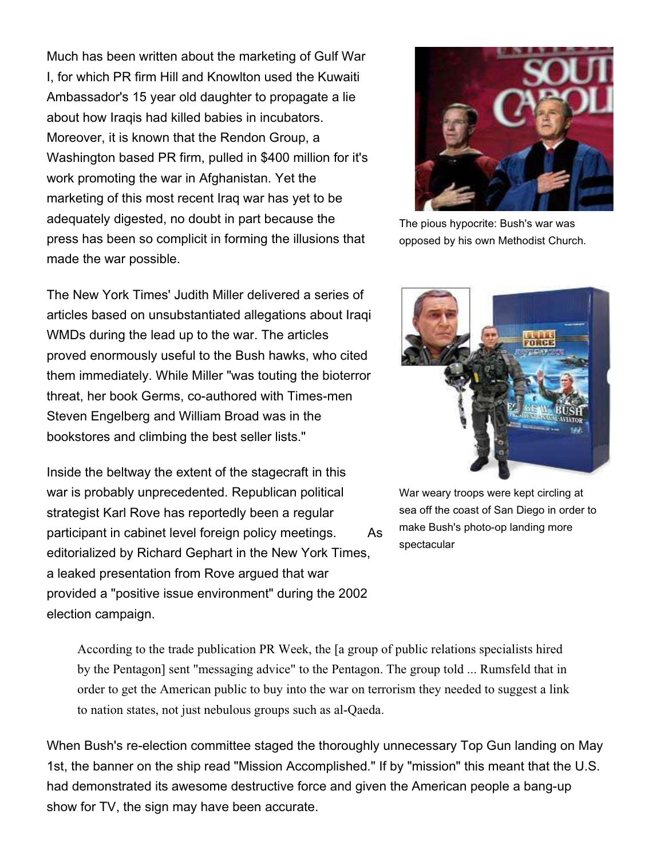Much has been written about the marketing of Gulf War I, for which PR firm Hill and Knowlton used the Kuwaiti Ambassador's 15 year old daughter to propagate a lie about how Iraqis had killed babies in incubators. Moreover, it is known that the Rendon Group, a Washington based PR firm, pulled in \$400 million for it's work promoting the war in Afghanistan. Yet the marketing of this most recent Iraq war has yet to be adequately digested, no doubt in part because the press has been so complicit in forming the illusions that made the war possible.

The New York Times' Judith Miller delivered a series of articles based on unsubstantiated allegations about Iraqi WMDs during the lead up to the war. The articles proved enormously useful to the Bush hawks, who cited them immediately. While Miller "was touting the bioterror threat, her book Germs, co-authored with Times-men Steven Engelberg and William Broad was in the bookstores and climbing the best seller lists."

Inside the beltway the extent of the stagecraft in this war is probably unprecedented. Republican political strategist Karl Rove has reportedly been a regular participant in cabinet level foreign policy meetings. As editorialized by Richard Gephart in the New York Times, a leaked presentation from Rove argued that war provided a "positive issue environment" during the 2002 election campaign.



The pious hypocrite: Bush's war was opposed by his own Methodist Church.



War weary troops were kept circling at sea off the coast of San Diego in order to make Bush's photo-op landing more spectacular

According to the trade publication PR Week, the [a group of public relations specialists hired by the Pentagon] sent "messaging advice" to the Pentagon. The group told ... Rumsfeld that in order to get the American public to buy into the war on terrorism they needed to suggest a link to nation states, not just nebulous groups such as al-Qaeda.

When Bush's re-election committee staged the thoroughly unnecessary Top Gun landing on May 1st, the banner on the ship read "Mission Accomplished." If by "mission" this meant that the U.S. had demonstrated its awesome destructive force and given the American people a bang-up show for TV, the sign may have been accurate.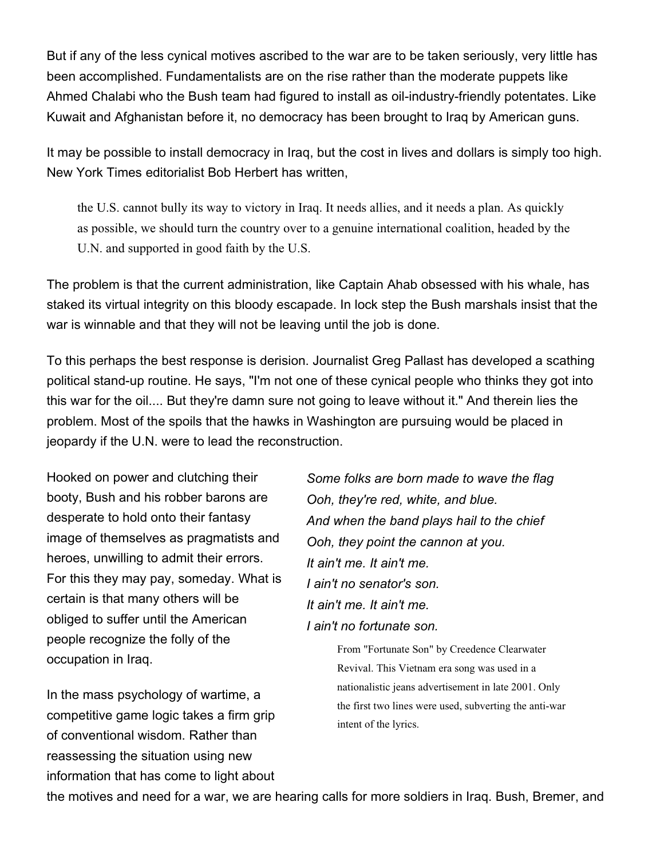But if any of the less cynical motives ascribed to the war are to be taken seriously, very little has been accomplished. Fundamentalists are on the rise rather than the moderate puppets like Ahmed Chalabi who the Bush team had figured to install as oil-industry-friendly potentates. Like Kuwait and Afghanistan before it, no democracy has been brought to Iraq by American guns.

It may be possible to install democracy in Iraq, but the cost in lives and dollars is simply too high. New York Times editorialist Bob Herbert has written,

the U.S. cannot bully its way to victory in Iraq. It needs allies, and it needs a plan. As quickly as possible, we should turn the country over to a genuine international coalition, headed by the U.N. and supported in good faith by the U.S.

The problem is that the current administration, like Captain Ahab obsessed with his whale, has staked its virtual integrity on this bloody escapade. In lock step the Bush marshals insist that the war is winnable and that they will not be leaving until the job is done.

To this perhaps the best response is derision. Journalist Greg Pallast has developed a scathing political stand-up routine. He says, "I'm not one of these cynical people who thinks they got into this war for the oil.... But they're damn sure not going to leave without it." And therein lies the problem. Most of the spoils that the hawks in Washington are pursuing would be placed in jeopardy if the U.N. were to lead the reconstruction.

Hooked on power and clutching their booty, Bush and his robber barons are desperate to hold onto their fantasy image of themselves as pragmatists and heroes, unwilling to admit their errors. For this they may pay, someday. What is certain is that many others will be obliged to suffer until the American people recognize the folly of the occupation in Iraq.

In the mass psychology of wartime, a competitive game logic takes a firm grip of conventional wisdom. Rather than reassessing the situation using new information that has come to light about

*Some folks are born made to wave the flag Ooh, they're red, white, and blue. And when the band plays hail to the chief Ooh, they point the cannon at you. It ain't me. It ain't me. I ain't no senator's son. It ain't me. It ain't me. I ain't no fortunate son.*

> From "Fortunate Son" by Creedence Clearwater Revival. This Vietnam era song was used in a nationalistic jeans advertisement in late 2001. Only the first two lines were used, subverting the anti-war intent of the lyrics.

the motives and need for a war, we are hearing calls for more soldiers in Iraq. Bush, Bremer, and